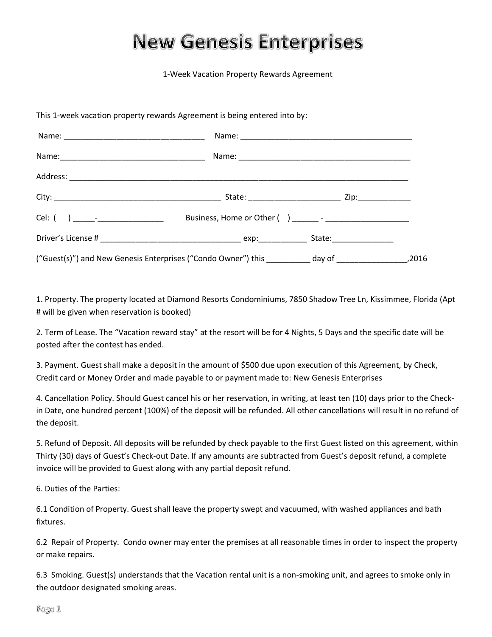## **New Genesis Enterprises**

1-Week Vacation Property Rewards Agreement

This 1-week vacation property rewards Agreement is being entered into by:

| ("Guest(s)") and New Genesis Enterprises ("Condo Owner") this __________day of _______________________________2016 |  |  |
|--------------------------------------------------------------------------------------------------------------------|--|--|

1. Property. The property located at Diamond Resorts Condominiums, 7850 Shadow Tree Ln, Kissimmee, Florida (Apt # will be given when reservation is booked)

2. Term of Lease. The "Vacation reward stay" at the resort will be for 4 Nights, 5 Days and the specific date will be posted after the contest has ended.

3. Payment. Guest shall make a deposit in the amount of \$500 due upon execution of this Agreement, by Check, Credit card or Money Order and made payable to or payment made to: New Genesis Enterprises

4. Cancellation Policy. Should Guest cancel his or her reservation, in writing, at least ten (10) days prior to the Checkin Date, one hundred percent (100%) of the deposit will be refunded. All other cancellations will result in no refund of the deposit.

5. Refund of Deposit. All deposits will be refunded by check payable to the first Guest listed on this agreement, within Thirty (30) days of Guest's Check-out Date. If any amounts are subtracted from Guest's deposit refund, a complete invoice will be provided to Guest along with any partial deposit refund.

6. Duties of the Parties:

6.1 Condition of Property. Guest shall leave the property swept and vacuumed, with washed appliances and bath fixtures.

6.2 Repair of Property. Condo owner may enter the premises at all reasonable times in order to inspect the property or make repairs.

6.3 Smoking. Guest(s) understands that the Vacation rental unit is a non-smoking unit, and agrees to smoke only in the outdoor designated smoking areas.